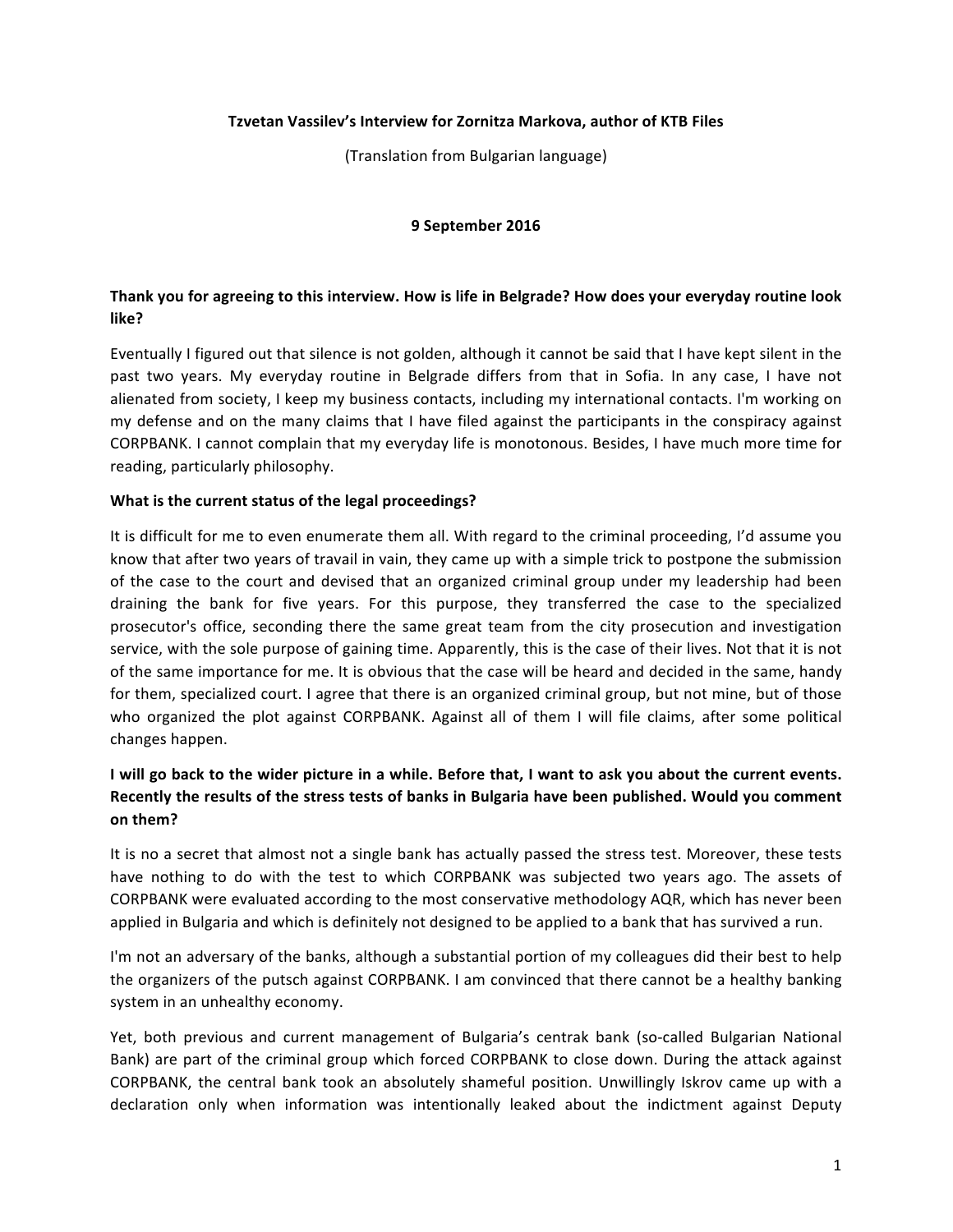### **Tzvetan Vassilev's Interview for Zornitza Markova, author of KTB Files**

(Translation from Bulgarian language)

### **9 September 2016**

## Thank you for agreeing to this interview. How is life in Belgrade? How does your everyday routine look **like?**

Eventually I figured out that silence is not golden, although it cannot be said that I have kept silent in the past two years. My everyday routine in Belgrade differs from that in Sofia. In any case, I have not alienated from society, I keep my business contacts, including my international contacts. I'm working on my defense and on the many claims that I have filed against the participants in the conspiracy against CORPBANK. I cannot complain that my everyday life is monotonous. Besides, I have much more time for reading, particularly philosophy.

### **What is the current status of the legal proceedings?**

It is difficult for me to even enumerate them all. With regard to the criminal proceeding, I'd assume you know that after two years of travail in vain, they came up with a simple trick to postpone the submission of the case to the court and devised that an organized criminal group under my leadership had been draining the bank for five years. For this purpose, they transferred the case to the specialized prosecutor's office, seconding there the same great team from the city prosecution and investigation service, with the sole purpose of gaining time. Apparently, this is the case of their lives. Not that it is not of the same importance for me. It is obvious that the case will be heard and decided in the same, handy for them, specialized court. I agree that there is an organized criminal group, but not mine, but of those who organized the plot against CORPBANK. Against all of them I will file claims, after some political changes happen.

# I will go back to the wider picture in a while. Before that, I want to ask you about the current events. Recently the results of the stress tests of banks in Bulgaria have been published. Would you comment **on them?**

It is no a secret that almost not a single bank has actually passed the stress test. Moreover, these tests have nothing to do with the test to which CORPBANK was subjected two years ago. The assets of CORPBANK were evaluated according to the most conservative methodology AQR, which has never been applied in Bulgaria and which is definitely not designed to be applied to a bank that has survived a run.

I'm not an adversary of the banks, although a substantial portion of my colleagues did their best to help the organizers of the putsch against CORPBANK. I am convinced that there cannot be a healthy banking system in an unhealthy economy.

Yet, both previous and current management of Bulgaria's centrak bank (so-called Bulgarian National Bank) are part of the criminal group which forced CORPBANK to close down. During the attack against CORPBANK, the central bank took an absolutely shameful position. Unwillingly Iskrov came up with a declaration only when information was intentionally leaked about the indictment against Deputy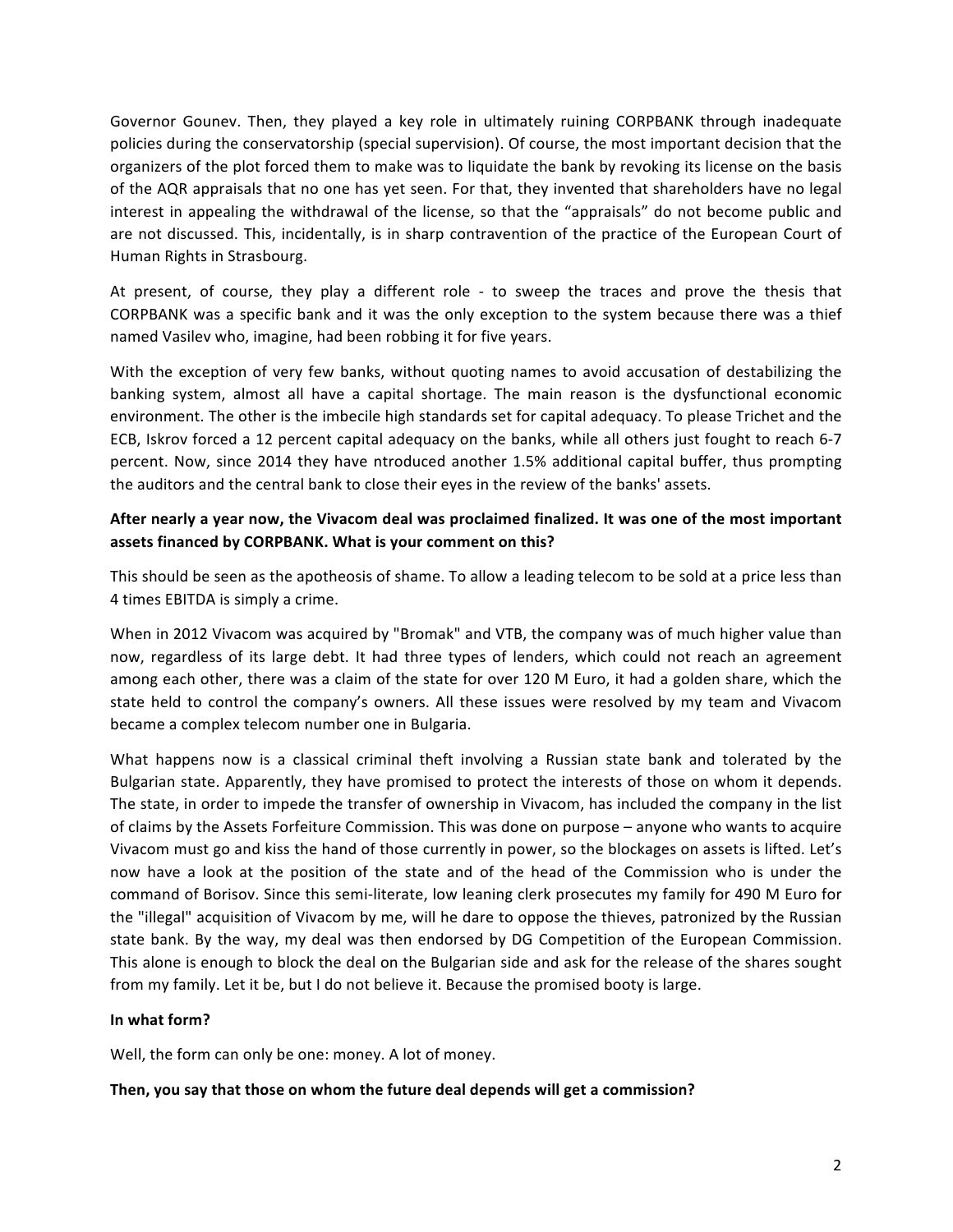Governor Gounev. Then, they played a key role in ultimately ruining CORPBANK through inadequate policies during the conservatorship (special supervision). Of course, the most important decision that the organizers of the plot forced them to make was to liquidate the bank by revoking its license on the basis of the AQR appraisals that no one has yet seen. For that, they invented that shareholders have no legal interest in appealing the withdrawal of the license, so that the "appraisals" do not become public and are not discussed. This, incidentally, is in sharp contravention of the practice of the European Court of Human Rights in Strasbourg.

At present, of course, they play a different role - to sweep the traces and prove the thesis that CORPBANK was a specific bank and it was the only exception to the system because there was a thief named Vasilev who, imagine, had been robbing it for five years.

With the exception of very few banks, without quoting names to avoid accusation of destabilizing the banking system, almost all have a capital shortage. The main reason is the dysfunctional economic environment. The other is the imbecile high standards set for capital adequacy. To please Trichet and the ECB, Iskrov forced a 12 percent capital adequacy on the banks, while all others just fought to reach 6-7 percent. Now, since 2014 they have ntroduced another 1.5% additional capital buffer, thus prompting the auditors and the central bank to close their eyes in the review of the banks' assets.

## After nearly a year now, the Vivacom deal was proclaimed finalized. It was one of the most important assets financed by CORPBANK. What is your comment on this?

This should be seen as the apotheosis of shame. To allow a leading telecom to be sold at a price less than 4 times EBITDA is simply a crime.

When in 2012 Vivacom was acquired by "Bromak" and VTB, the company was of much higher value than now, regardless of its large debt. It had three types of lenders, which could not reach an agreement among each other, there was a claim of the state for over 120 M Euro, it had a golden share, which the state held to control the company's owners. All these issues were resolved by my team and Vivacom became a complex telecom number one in Bulgaria.

What happens now is a classical criminal theft involving a Russian state bank and tolerated by the Bulgarian state. Apparently, they have promised to protect the interests of those on whom it depends. The state, in order to impede the transfer of ownership in Vivacom, has included the company in the list of claims by the Assets Forfeiture Commission. This was done on purpose – anyone who wants to acquire Vivacom must go and kiss the hand of those currently in power, so the blockages on assets is lifted. Let's now have a look at the position of the state and of the head of the Commission who is under the command of Borisov. Since this semi-literate, low leaning clerk prosecutes my family for 490 M Euro for the "illegal" acquisition of Vivacom by me, will he dare to oppose the thieves, patronized by the Russian state bank. By the way, my deal was then endorsed by DG Competition of the European Commission. This alone is enough to block the deal on the Bulgarian side and ask for the release of the shares sought from my family. Let it be, but I do not believe it. Because the promised booty is large.

### **In what form?**

Well, the form can only be one: money. A lot of money.

### Then, you say that those on whom the future deal depends will get a commission?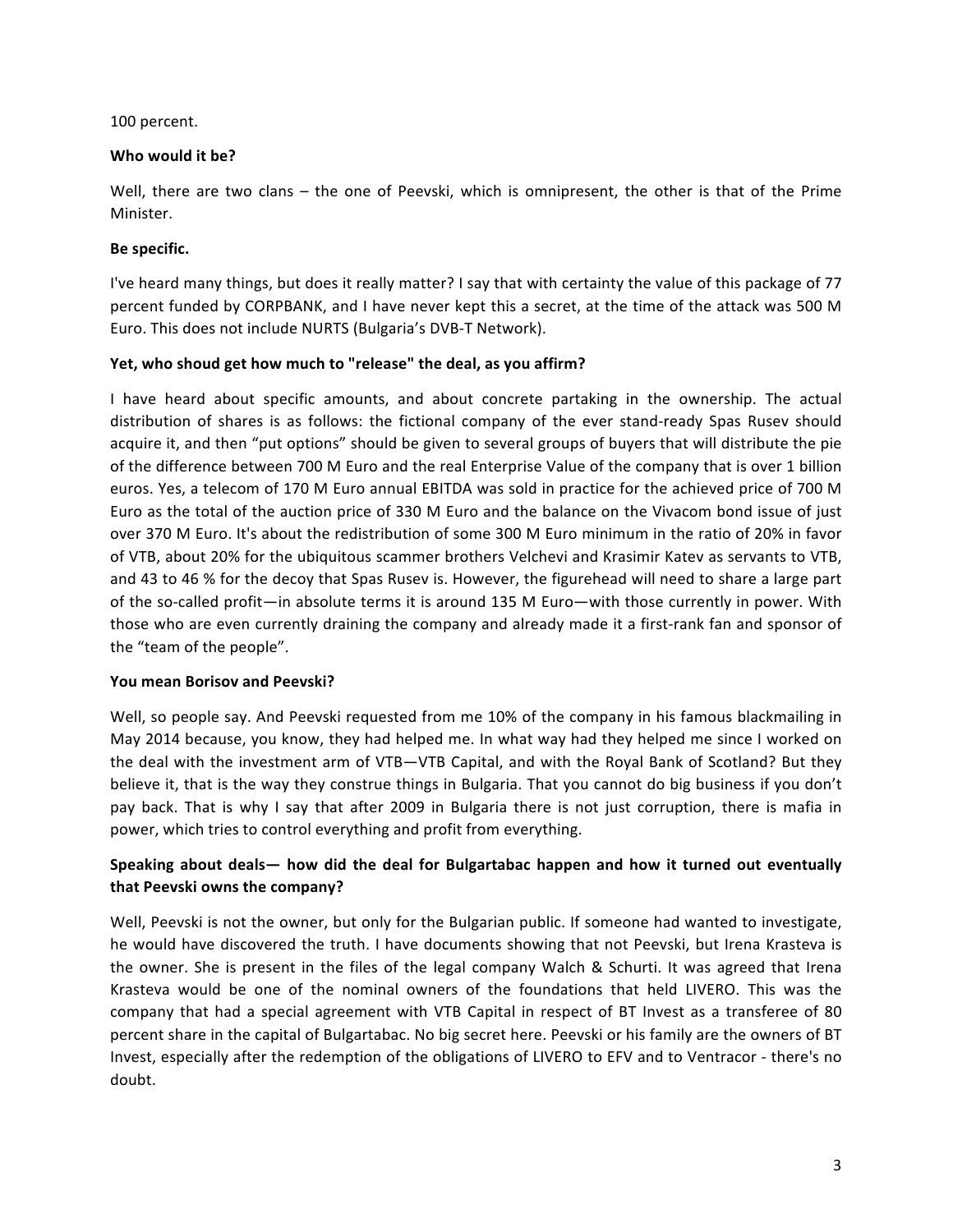### 100 percent.

### Who would it be?

Well, there are two clans – the one of Peevski, which is omnipresent, the other is that of the Prime Minister.

### Be specific.

I've heard many things, but does it really matter? I say that with certainty the value of this package of 77 percent funded by CORPBANK, and I have never kept this a secret, at the time of the attack was 500 M Euro. This does not include NURTS (Bulgaria's DVB-T Network).

### Yet, who shoud get how much to "release" the deal, as you affirm?

I have heard about specific amounts, and about concrete partaking in the ownership. The actual distribution of shares is as follows: the fictional company of the ever stand-ready Spas Rusev should acquire it, and then "put options" should be given to several groups of buyers that will distribute the pie of the difference between 700 M Euro and the real Enterprise Value of the company that is over 1 billion euros. Yes, a telecom of 170 M Euro annual EBITDA was sold in practice for the achieved price of 700 M Euro as the total of the auction price of 330 M Euro and the balance on the Vivacom bond issue of just over 370 M Euro. It's about the redistribution of some 300 M Euro minimum in the ratio of 20% in favor of VTB, about 20% for the ubiquitous scammer brothers Velchevi and Krasimir Katev as servants to VTB, and 43 to 46 % for the decoy that Spas Rusev is. However, the figurehead will need to share a large part of the so-called profit—in absolute terms it is around 135 M Euro—with those currently in power. With those who are even currently draining the company and already made it a first-rank fan and sponsor of the "team of the people".

### You mean Borisov and Peevski?

Well, so people say. And Peevski requested from me 10% of the company in his famous blackmailing in May 2014 because, you know, they had helped me. In what way had they helped me since I worked on the deal with the investment arm of VTB—VTB Capital, and with the Royal Bank of Scotland? But they believe it, that is the way they construe things in Bulgaria. That you cannot do big business if you don't pay back. That is why I say that after 2009 in Bulgaria there is not just corruption, there is mafia in power, which tries to control everything and profit from everything.

# **Speaking** about deals— how did the deal for Bulgartabac happen and how it turned out eventually **that Peevski owns the company?**

Well, Peevski is not the owner, but only for the Bulgarian public. If someone had wanted to investigate, he would have discovered the truth. I have documents showing that not Peevski, but Irena Krasteva is the owner. She is present in the files of the legal company Walch & Schurti. It was agreed that Irena Krasteva would be one of the nominal owners of the foundations that held LIVERO. This was the company that had a special agreement with VTB Capital in respect of BT Invest as a transferee of 80 percent share in the capital of Bulgartabac. No big secret here. Peevski or his family are the owners of BT Invest, especially after the redemption of the obligations of LIVERO to EFV and to Ventracor - there's no doubt.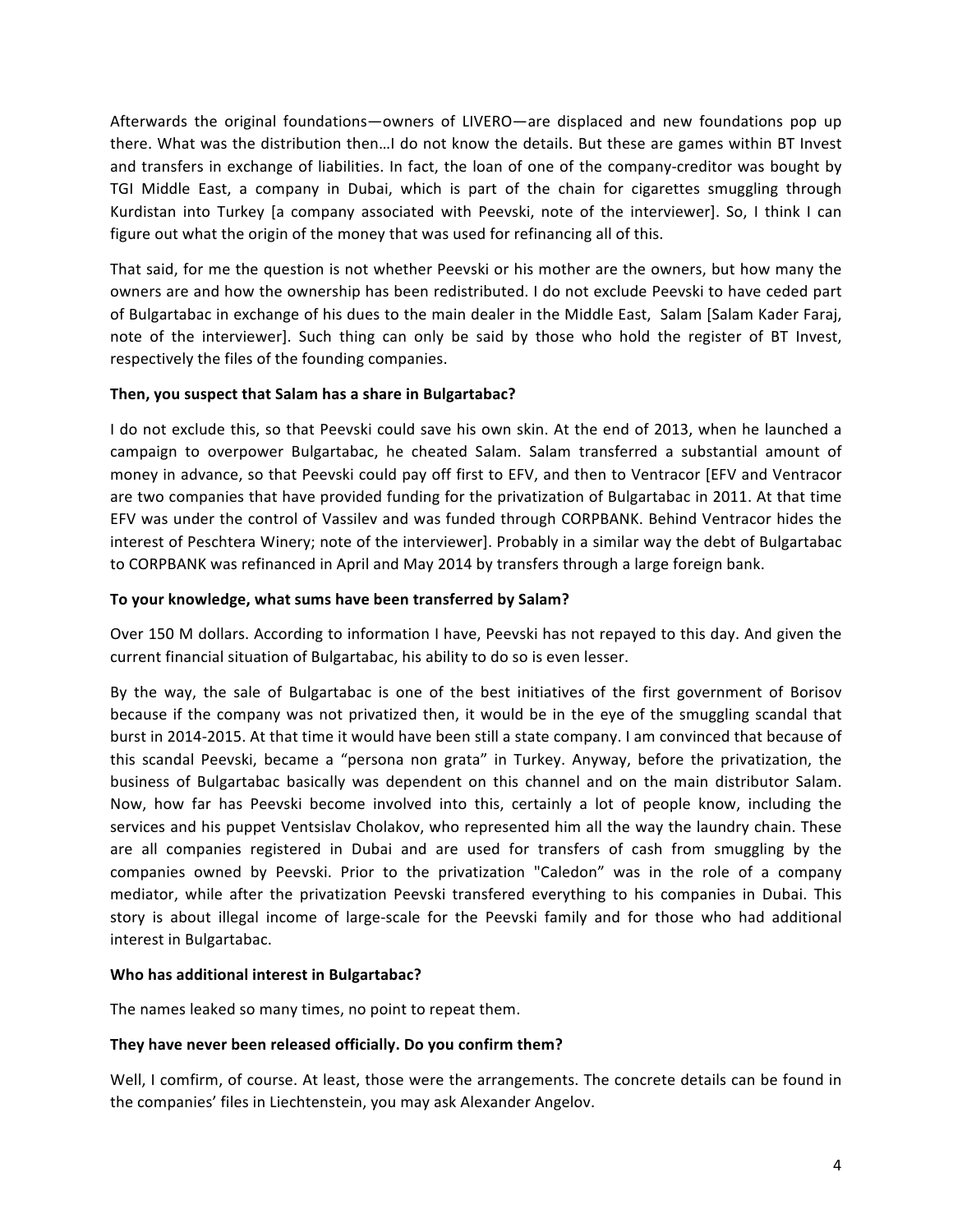Afterwards the original foundations—owners of LIVERO—are displaced and new foundations pop up there. What was the distribution then...I do not know the details. But these are games within BT Invest and transfers in exchange of liabilities. In fact, the loan of one of the company-creditor was bought by TGI Middle East, a company in Dubai, which is part of the chain for cigarettes smuggling through Kurdistan into Turkey [a company associated with Peevski, note of the interviewer]. So, I think I can figure out what the origin of the money that was used for refinancing all of this.

That said, for me the question is not whether Peevski or his mother are the owners, but how many the owners are and how the ownership has been redistributed. I do not exclude Peevski to have ceded part of Bulgartabac in exchange of his dues to the main dealer in the Middle East, Salam [Salam Kader Faraj, note of the interviewer]. Such thing can only be said by those who hold the register of BT Invest, respectively the files of the founding companies.

### Then, you suspect that Salam has a share in Bulgartabac?

I do not exclude this, so that Peevski could save his own skin. At the end of 2013, when he launched a campaign to overpower Bulgartabac, he cheated Salam. Salam transferred a substantial amount of money in advance, so that Peevski could pay off first to EFV, and then to Ventracor [EFV and Ventracor are two companies that have provided funding for the privatization of Bulgartabac in 2011. At that time EFV was under the control of Vassilev and was funded through CORPBANK. Behind Ventracor hides the interest of Peschtera Winery; note of the interviewer]. Probably in a similar way the debt of Bulgartabac to CORPBANK was refinanced in April and May 2014 by transfers through a large foreign bank.

### To your knowledge, what sums have been transferred by Salam?

Over 150 M dollars. According to information I have, Peevski has not repayed to this day. And given the current financial situation of Bulgartabac, his ability to do so is even lesser.

By the way, the sale of Bulgartabac is one of the best initiatives of the first government of Borisov because if the company was not privatized then, it would be in the eye of the smuggling scandal that burst in 2014-2015. At that time it would have been still a state company. I am convinced that because of this scandal Peevski, became a "persona non grata" in Turkey. Anyway, before the privatization, the business of Bulgartabac basically was dependent on this channel and on the main distributor Salam. Now, how far has Peevski become involved into this, certainly a lot of people know, including the services and his puppet Ventsislav Cholakov, who represented him all the way the laundry chain. These are all companies registered in Dubai and are used for transfers of cash from smuggling by the companies owned by Peevski. Prior to the privatization "Caledon" was in the role of a company mediator, while after the privatization Peevski transfered everything to his companies in Dubai. This story is about illegal income of large-scale for the Peevski family and for those who had additional interest in Bulgartabac.

## **Who has additional interest in Bulgartabac?**

The names leaked so many times, no point to repeat them.

### They have never been released officially. Do you confirm them?

Well, I comfirm, of course. At least, those were the arrangements. The concrete details can be found in the companies' files in Liechtenstein, you may ask Alexander Angelov.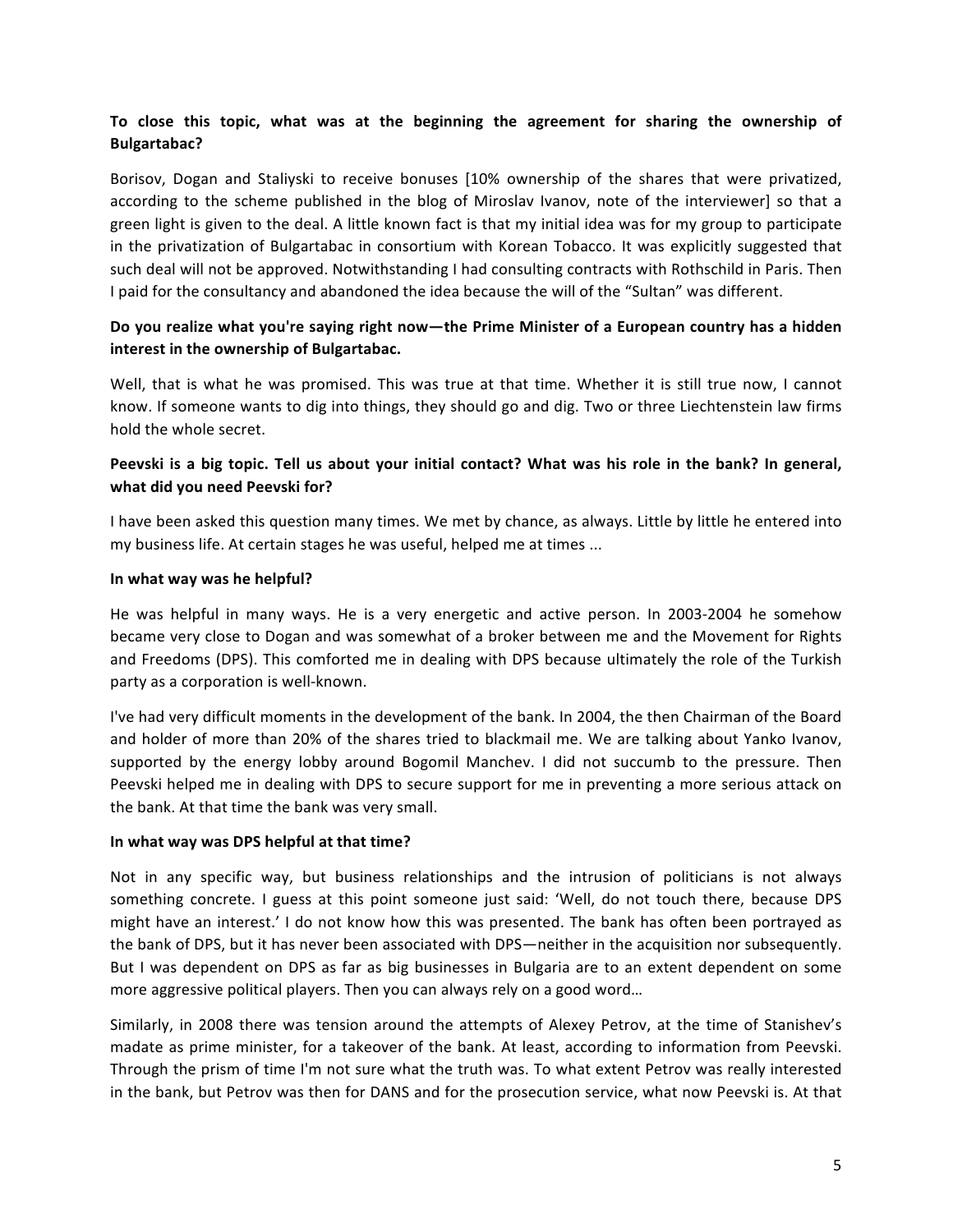# **To close this topic, what was at the beginning the agreement for sharing the ownership of Bulgartabac?**

Borisov, Dogan and Staliyski to receive bonuses [10% ownership of the shares that were privatized, according to the scheme published in the blog of Miroslav Ivanov, note of the interviewer] so that a green light is given to the deal. A little known fact is that my initial idea was for my group to participate in the privatization of Bulgartabac in consortium with Korean Tobacco. It was explicitly suggested that such deal will not be approved. Notwithstanding I had consulting contracts with Rothschild in Paris. Then I paid for the consultancy and abandoned the idea because the will of the "Sultan" was different.

# Do you realize what you're saying right now—the Prime Minister of a European country has a hidden **interest in the ownership of Bulgartabac.**

Well, that is what he was promised. This was true at that time. Whether it is still true now, I cannot know. If someone wants to dig into things, they should go and dig. Two or three Liechtenstein law firms hold the whole secret.

## Peevski is a big topic. Tell us about your initial contact? What was his role in the bank? In general, **what did you need Peevski for?**

I have been asked this question many times. We met by chance, as always. Little by little he entered into my business life. At certain stages he was useful, helped me at times ...

### In what way was he helpful?

He was helpful in many ways. He is a very energetic and active person. In 2003-2004 he somehow became very close to Dogan and was somewhat of a broker between me and the Movement for Rights and Freedoms (DPS). This comforted me in dealing with DPS because ultimately the role of the Turkish party as a corporation is well-known.

I've had very difficult moments in the development of the bank. In 2004, the then Chairman of the Board and holder of more than 20% of the shares tried to blackmail me. We are talking about Yanko Ivanov, supported by the energy lobby around Bogomil Manchev. I did not succumb to the pressure. Then Peevski helped me in dealing with DPS to secure support for me in preventing a more serious attack on the bank. At that time the bank was very small.

### In what way was DPS helpful at that time?

Not in any specific way, but business relationships and the intrusion of politicians is not always something concrete. I guess at this point someone just said: 'Well, do not touch there, because DPS might have an interest.' I do not know how this was presented. The bank has often been portrayed as the bank of DPS, but it has never been associated with DPS—neither in the acquisition nor subsequently. But I was dependent on DPS as far as big businesses in Bulgaria are to an extent dependent on some more aggressive political players. Then you can always rely on a good word...

Similarly, in 2008 there was tension around the attempts of Alexey Petrov, at the time of Stanishev's madate as prime minister, for a takeover of the bank. At least, according to information from Peevski. Through the prism of time I'm not sure what the truth was. To what extent Petrov was really interested in the bank, but Petrov was then for DANS and for the prosecution service, what now Peevski is. At that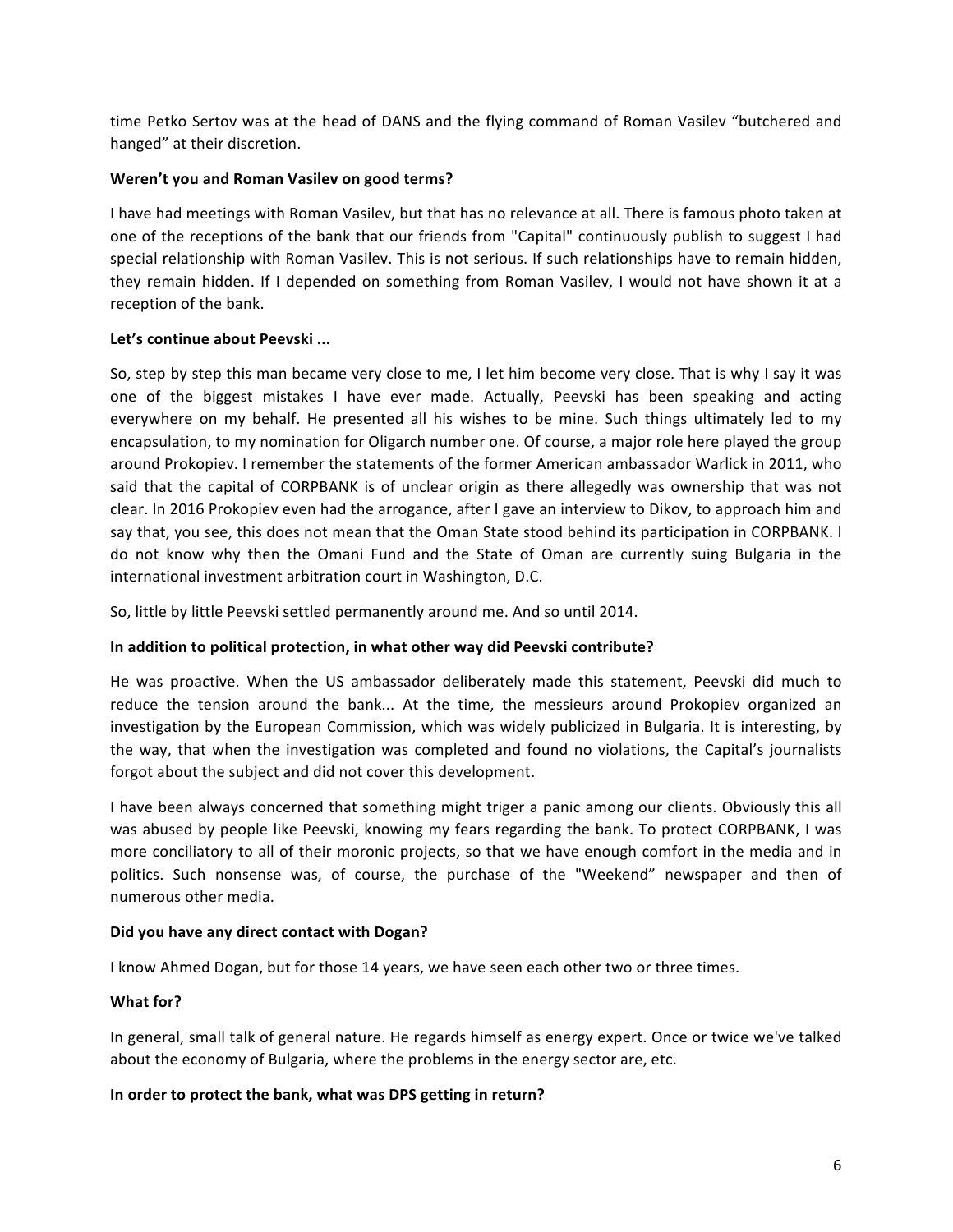time Petko Sertov was at the head of DANS and the flying command of Roman Vasilev "butchered and hanged" at their discretion.

## **Weren't you and Roman Vasilev on good terms?**

I have had meetings with Roman Vasilev, but that has no relevance at all. There is famous photo taken at one of the receptions of the bank that our friends from "Capital" continuously publish to suggest I had special relationship with Roman Vasilev. This is not serious. If such relationships have to remain hidden, they remain hidden. If I depended on something from Roman Vasilev, I would not have shown it at a reception of the bank.

### Let's continue about Peevski ...

So, step by step this man became very close to me, I let him become very close. That is why I say it was one of the biggest mistakes I have ever made. Actually, Peevski has been speaking and acting everywhere on my behalf. He presented all his wishes to be mine. Such things ultimately led to my encapsulation, to my nomination for Oligarch number one. Of course, a major role here played the group around Prokopiev. I remember the statements of the former American ambassador Warlick in 2011, who said that the capital of CORPBANK is of unclear origin as there allegedly was ownership that was not clear. In 2016 Prokopiev even had the arrogance, after I gave an interview to Dikov, to approach him and say that, you see, this does not mean that the Oman State stood behind its participation in CORPBANK. I do not know why then the Omani Fund and the State of Oman are currently suing Bulgaria in the international investment arbitration court in Washington, D.C.

So, little by little Peevski settled permanently around me. And so until 2014.

## **In addition to political protection, in what other way did Peevski contribute?**

He was proactive. When the US ambassador deliberately made this statement, Peevski did much to reduce the tension around the bank... At the time, the messieurs around Prokopiev organized an investigation by the European Commission, which was widely publicized in Bulgaria. It is interesting, by the way, that when the investigation was completed and found no violations, the Capital's journalists forgot about the subject and did not cover this development.

I have been always concerned that something might triger a panic among our clients. Obviously this all was abused by people like Peevski, knowing my fears regarding the bank. To protect CORPBANK, I was more conciliatory to all of their moronic projects, so that we have enough comfort in the media and in politics. Such nonsense was, of course, the purchase of the "Weekend" newspaper and then of numerous other media.

### **Did you have any direct contact with Dogan?**

I know Ahmed Dogan, but for those 14 years, we have seen each other two or three times.

## **What for?**

In general, small talk of general nature. He regards himself as energy expert. Once or twice we've talked about the economy of Bulgaria, where the problems in the energy sector are, etc.

## In order to protect the bank, what was DPS getting in return?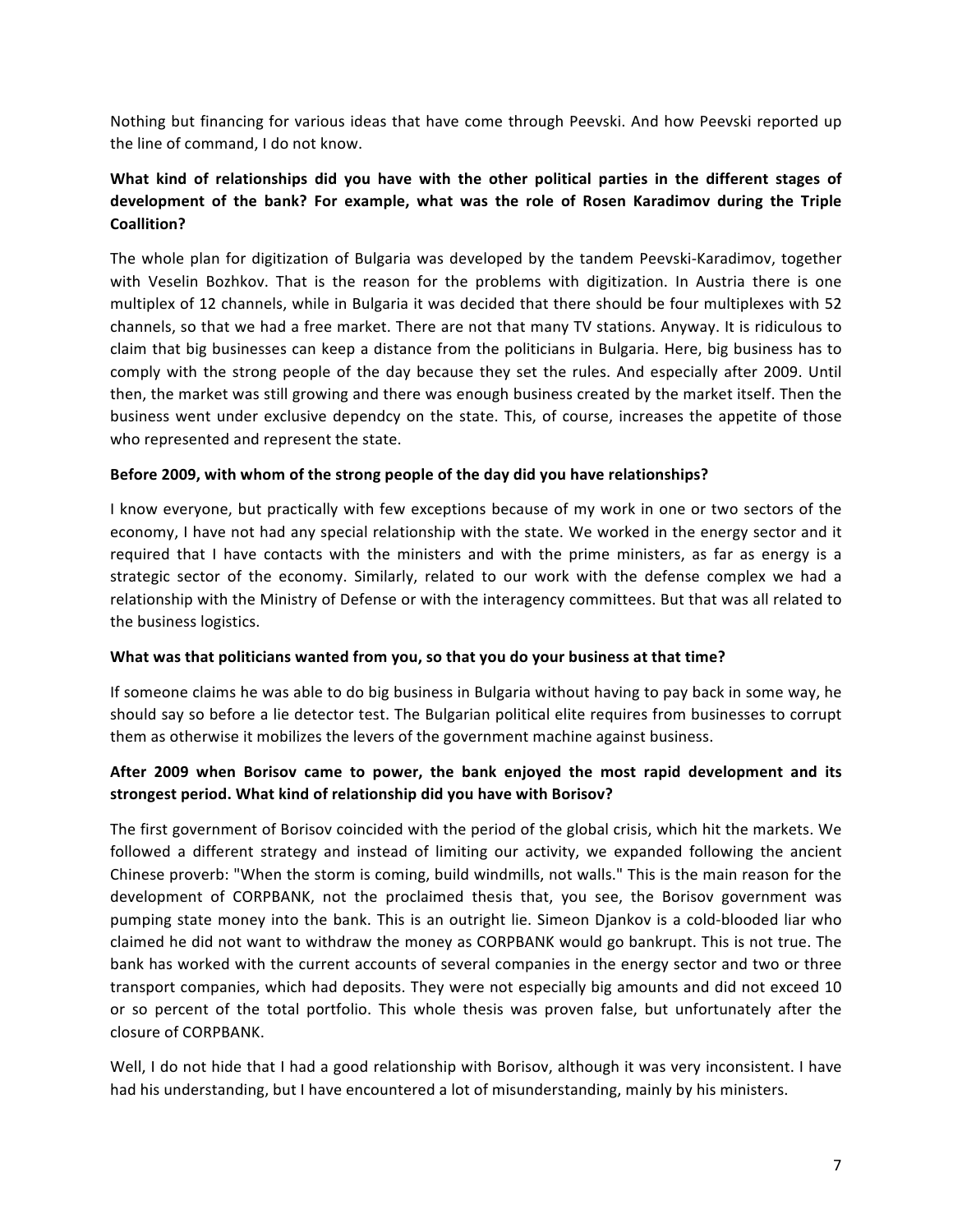Nothing but financing for various ideas that have come through Peevski. And how Peevski reported up the line of command, I do not know.

# **What kind of relationships did you have with the other political parties in the different stages of** development of the bank? For example, what was the role of Rosen Karadimov during the Triple **Coallition?**

The whole plan for digitization of Bulgaria was developed by the tandem Peevski-Karadimov, together with Veselin Bozhkov. That is the reason for the problems with digitization. In Austria there is one multiplex of 12 channels, while in Bulgaria it was decided that there should be four multiplexes with 52 channels, so that we had a free market. There are not that many TV stations. Anyway. It is ridiculous to claim that big businesses can keep a distance from the politicians in Bulgaria. Here, big business has to comply with the strong people of the day because they set the rules. And especially after 2009. Until then, the market was still growing and there was enough business created by the market itself. Then the business went under exclusive dependcy on the state. This, of course, increases the appetite of those who represented and represent the state.

### Before 2009, with whom of the strong people of the day did you have relationships?

I know everyone, but practically with few exceptions because of my work in one or two sectors of the economy, I have not had any special relationship with the state. We worked in the energy sector and it required that I have contacts with the ministers and with the prime ministers, as far as energy is a strategic sector of the economy. Similarly, related to our work with the defense complex we had a relationship with the Ministry of Defense or with the interagency committees. But that was all related to the business logistics.

### What was that politicians wanted from you, so that you do your business at that time?

If someone claims he was able to do big business in Bulgaria without having to pay back in some way, he should say so before a lie detector test. The Bulgarian political elite requires from businesses to corrupt them as otherwise it mobilizes the levers of the government machine against business.

### After 2009 when Borisov came to power, the bank enjoyed the most rapid development and its strongest period. What kind of relationship did you have with Borisov?

The first government of Borisov coincided with the period of the global crisis, which hit the markets. We followed a different strategy and instead of limiting our activity, we expanded following the ancient Chinese proverb: "When the storm is coming, build windmills, not walls." This is the main reason for the development of CORPBANK, not the proclaimed thesis that, you see, the Borisov government was pumping state money into the bank. This is an outright lie. Simeon Djankov is a cold-blooded liar who claimed he did not want to withdraw the money as CORPBANK would go bankrupt. This is not true. The bank has worked with the current accounts of several companies in the energy sector and two or three transport companies, which had deposits. They were not especially big amounts and did not exceed 10 or so percent of the total portfolio. This whole thesis was proven false, but unfortunately after the closure of CORPBANK.

Well, I do not hide that I had a good relationship with Borisov, although it was very inconsistent. I have had his understanding, but I have encountered a lot of misunderstanding, mainly by his ministers.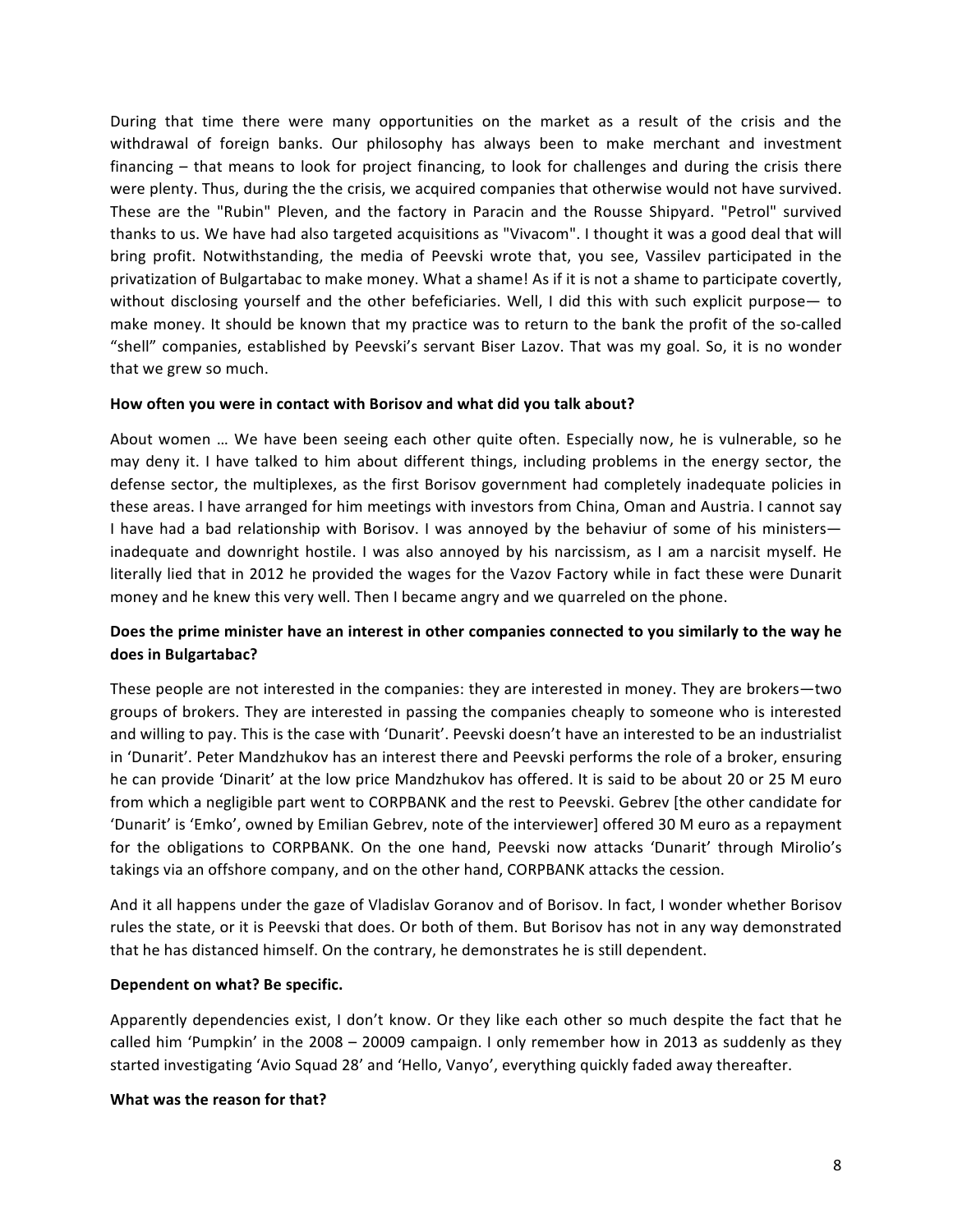During that time there were many opportunities on the market as a result of the crisis and the withdrawal of foreign banks. Our philosophy has always been to make merchant and investment financing  $-$  that means to look for project financing, to look for challenges and during the crisis there were plenty. Thus, during the the crisis, we acquired companies that otherwise would not have survived. These are the "Rubin" Pleven, and the factory in Paracin and the Rousse Shipyard. "Petrol" survived thanks to us. We have had also targeted acquisitions as "Vivacom". I thought it was a good deal that will bring profit. Notwithstanding, the media of Peevski wrote that, you see, Vassilev participated in the privatization of Bulgartabac to make money. What a shame! As if it is not a shame to participate covertly, without disclosing yourself and the other befeficiaries. Well, I did this with such explicit purpose— to make money. It should be known that my practice was to return to the bank the profit of the so-called "shell" companies, established by Peevski's servant Biser Lazov. That was my goal. So, it is no wonder that we grew so much.

#### How often you were in contact with Borisov and what did you talk about?

About women ... We have been seeing each other quite often. Especially now, he is vulnerable, so he may deny it. I have talked to him about different things, including problems in the energy sector, the defense sector, the multiplexes, as the first Borisov government had completely inadequate policies in these areas. I have arranged for him meetings with investors from China, Oman and Austria. I cannot say I have had a bad relationship with Borisov. I was annoyed by the behaviur of some of his ministers inadequate and downright hostile. I was also annoyed by his narcissism, as I am a narcisit myself. He literally lied that in 2012 he provided the wages for the Vazov Factory while in fact these were Dunarit money and he knew this very well. Then I became angry and we quarreled on the phone.

## Does the prime minister have an interest in other companies connected to you similarly to the way he **does in Bulgartabac?**

These people are not interested in the companies: they are interested in money. They are brokers—two groups of brokers. They are interested in passing the companies cheaply to someone who is interested and willing to pay. This is the case with 'Dunarit'. Peevski doesn't have an interested to be an industrialist in 'Dunarit'. Peter Mandzhukov has an interest there and Peevski performs the role of a broker, ensuring he can provide 'Dinarit' at the low price Mandzhukov has offered. It is said to be about 20 or 25 M euro from which a negligible part went to CORPBANK and the rest to Peevski. Gebrev [the other candidate for 'Dunarit' is 'Emko', owned by Emilian Gebrev, note of the interviewer] offered 30 M euro as a repayment for the obligations to CORPBANK. On the one hand, Peevski now attacks 'Dunarit' through Mirolio's takings via an offshore company, and on the other hand, CORPBANK attacks the cession.

And it all happens under the gaze of Vladislav Goranov and of Borisov. In fact, I wonder whether Borisov rules the state, or it is Peevski that does. Or both of them. But Borisov has not in any way demonstrated that he has distanced himself. On the contrary, he demonstrates he is still dependent.

### **Dependent on what? Be specific.**

Apparently dependencies exist, I don't know. Or they like each other so much despite the fact that he called him 'Pumpkin' in the 2008 – 20009 campaign. I only remember how in 2013 as suddenly as they started investigating 'Avio Squad 28' and 'Hello, Vanyo', everything quickly faded away thereafter.

#### **What was the reason for that?**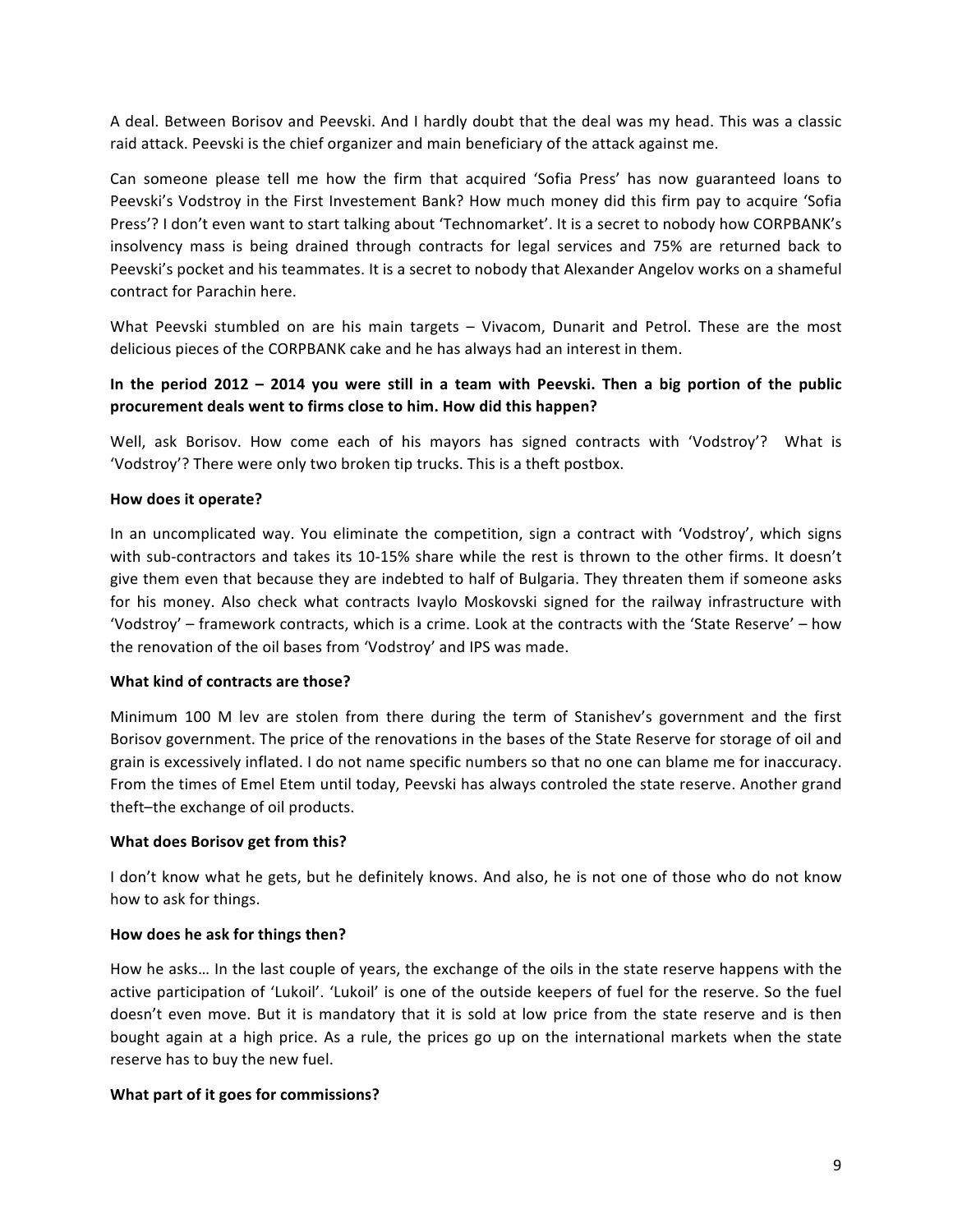A deal. Between Borisov and Peevski. And I hardly doubt that the deal was my head. This was a classic raid attack. Peevski is the chief organizer and main beneficiary of the attack against me.

Can someone please tell me how the firm that acquired 'Sofia Press' has now guaranteed loans to Peevski's Vodstroy in the First Investement Bank? How much money did this firm pay to acquire 'Sofia Press'? I don't even want to start talking about 'Technomarket'. It is a secret to nobody how CORPBANK's insolvency mass is being drained through contracts for legal services and 75% are returned back to Peevski's pocket and his teammates. It is a secret to nobody that Alexander Angelov works on a shameful contract for Parachin here.

What Peevski stumbled on are his main targets - Vivacom, Dunarit and Petrol. These are the most delicious pieces of the CORPBANK cake and he has always had an interest in them.

## In the period 2012 – 2014 you were still in a team with Peevski. Then a big portion of the public **procurement deals went to firms close to him. How did this happen?**

Well, ask Borisov. How come each of his mayors has signed contracts with 'Vodstroy'? What is 'Vodstroy'? There were only two broken tip trucks. This is a theft postbox.

### **How does it operate?**

In an uncomplicated way. You eliminate the competition, sign a contract with 'Vodstroy', which signs with sub-contractors and takes its 10-15% share while the rest is thrown to the other firms. It doesn't give them even that because they are indebted to half of Bulgaria. They threaten them if someone asks for his money. Also check what contracts Ivaylo Moskovski signed for the railway infrastructure with 'Vodstroy' – framework contracts, which is a crime. Look at the contracts with the 'State Reserve' – how the renovation of the oil bases from 'Vodstroy' and IPS was made.

### **What kind of contracts are those?**

Minimum 100 M lev are stolen from there during the term of Stanishev's government and the first Borisov government. The price of the renovations in the bases of the State Reserve for storage of oil and grain is excessively inflated. I do not name specific numbers so that no one can blame me for inaccuracy. From the times of Emel Etem until today, Peevski has always controled the state reserve. Another grand theft-the exchange of oil products.

### **What does Borisov get from this?**

I don't know what he gets, but he definitely knows. And also, he is not one of those who do not know how to ask for things.

### **How does he ask for things then?**

How he asks... In the last couple of years, the exchange of the oils in the state reserve happens with the active participation of 'Lukoil'. 'Lukoil' is one of the outside keepers of fuel for the reserve. So the fuel doesn't even move. But it is mandatory that it is sold at low price from the state reserve and is then bought again at a high price. As a rule, the prices go up on the international markets when the state reserve has to buy the new fuel.

## **What part of it goes for commissions?**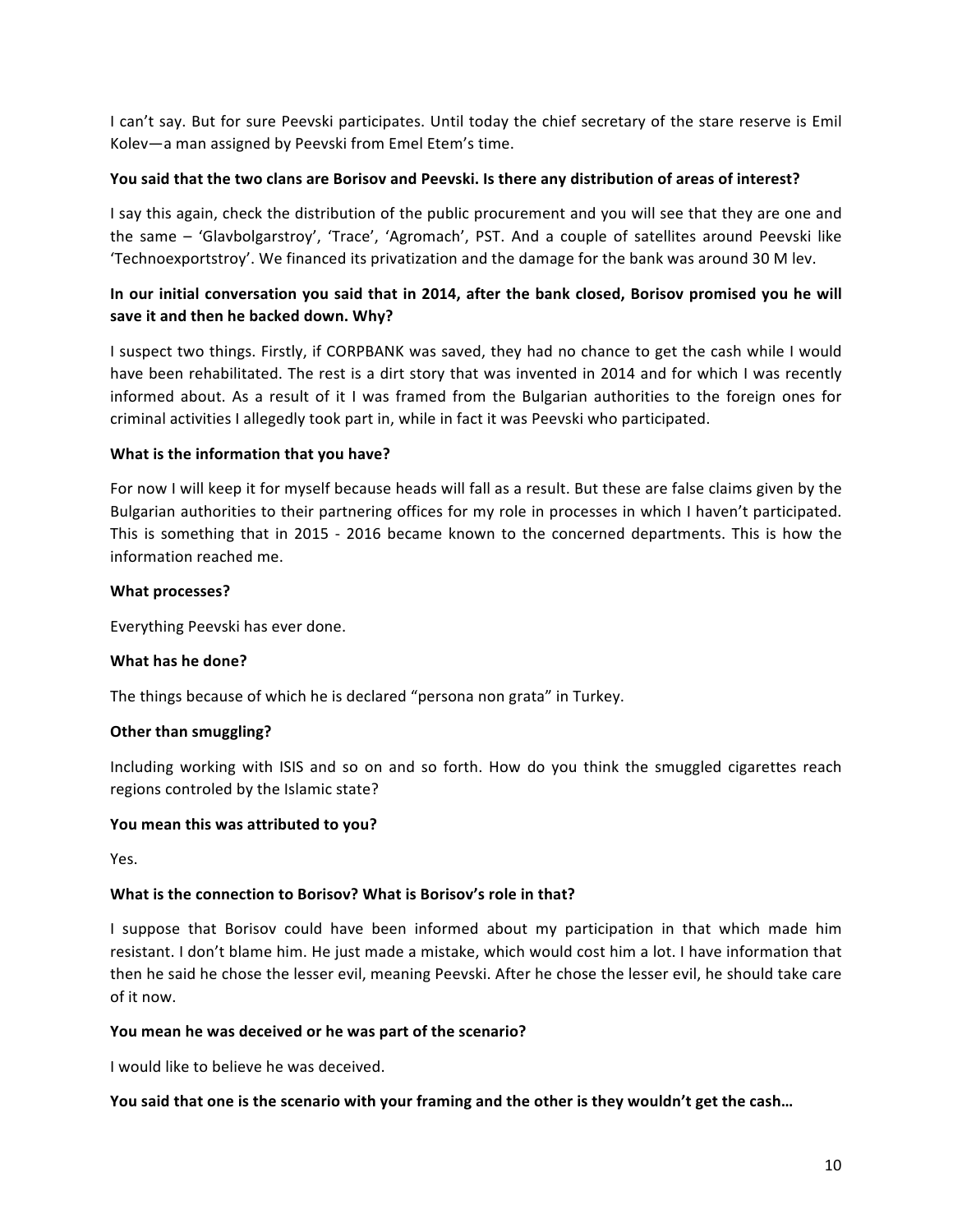I can't say. But for sure Peevski participates. Until today the chief secretary of the stare reserve is Emil Kolev-a man assigned by Peevski from Emel Etem's time.

### You said that the two clans are Borisov and Peevski. Is there any distribution of areas of interest?

I say this again, check the distribution of the public procurement and you will see that they are one and the same – 'Glavbolgarstroy', 'Trace', 'Agromach', PST. And a couple of satellites around Peevski like 'Technoexportstroy'. We financed its privatization and the damage for the bank was around 30 M lev.

# In our initial conversation you said that in 2014, after the bank closed, Borisov promised you he will save it and then he backed down. Why?

I suspect two things. Firstly, if CORPBANK was saved, they had no chance to get the cash while I would have been rehabilitated. The rest is a dirt story that was invented in 2014 and for which I was recently informed about. As a result of it I was framed from the Bulgarian authorities to the foreign ones for criminal activities I allegedly took part in, while in fact it was Peevski who participated.

### **What is the information that you have?**

For now I will keep it for myself because heads will fall as a result. But these are false claims given by the Bulgarian authorities to their partnering offices for my role in processes in which I haven't participated. This is something that in 2015 - 2016 became known to the concerned departments. This is how the information reached me.

### **What processes?**

Everything Peevski has ever done.

### **What has he done?**

The things because of which he is declared "persona non grata" in Turkey.

### **Other than smuggling?**

Including working with ISIS and so on and so forth. How do you think the smuggled cigarettes reach regions controled by the Islamic state?

### You mean this was attributed to you?

Yes. 

## **What is the connection to Borisov? What is Borisov's role in that?**

I suppose that Borisov could have been informed about my participation in that which made him resistant. I don't blame him. He just made a mistake, which would cost him a lot. I have information that then he said he chose the lesser evil, meaning Peevski. After he chose the lesser evil, he should take care of it now.

### You mean he was deceived or he was part of the scenario?

I would like to believe he was deceived.

## You said that one is the scenario with your framing and the other is they wouldn't get the cash...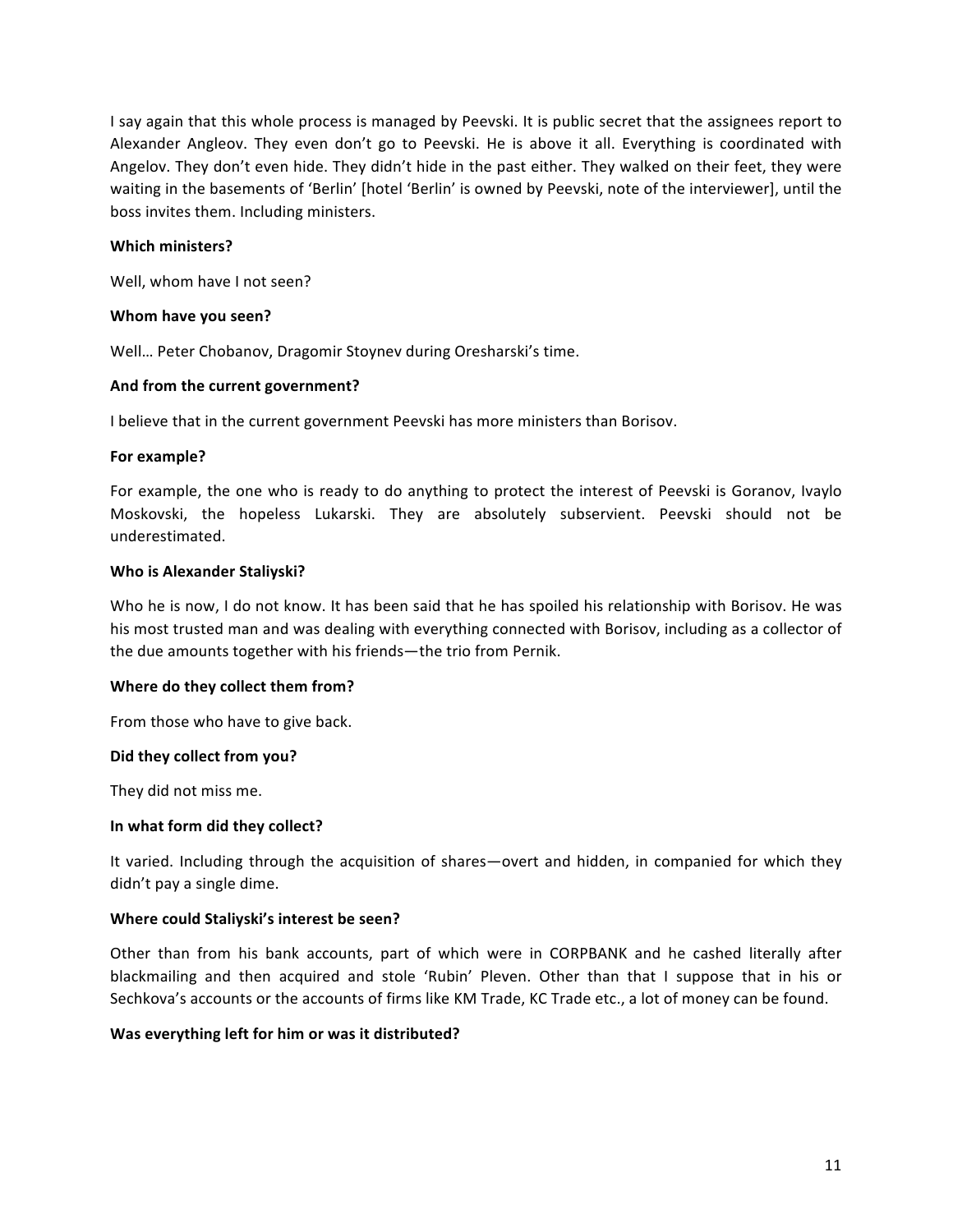I say again that this whole process is managed by Peevski. It is public secret that the assignees report to Alexander Angleov. They even don't go to Peevski. He is above it all. Everything is coordinated with Angelov. They don't even hide. They didn't hide in the past either. They walked on their feet, they were waiting in the basements of 'Berlin' [hotel 'Berlin' is owned by Peevski, note of the interviewer], until the boss invites them. Including ministers.

### **Which ministers?**

Well, whom have I not seen?

### **Whom have you seen?**

Well... Peter Chobanov, Dragomir Stoynev during Oresharski's time.

### And from the current government?

I believe that in the current government Peevski has more ministers than Borisov.

#### For example?

For example, the one who is ready to do anything to protect the interest of Peevski is Goranov, Ivaylo Moskovski, the hopeless Lukarski. They are absolutely subservient. Peevski should not be underestimated.

#### **Who is Alexander Staliyski?**

Who he is now, I do not know. It has been said that he has spoiled his relationship with Borisov. He was his most trusted man and was dealing with everything connected with Borisov, including as a collector of the due amounts together with his friends—the trio from Pernik.

### **Where do they collect them from?**

From those who have to give back.

### Did they collect from you?

They did not miss me.

#### **In what form did they collect?**

It varied. Including through the acquisition of shares—overt and hidden, in companied for which they didn't pay a single dime.

### **Where could Staliyski's interest be seen?**

Other than from his bank accounts, part of which were in CORPBANK and he cashed literally after blackmailing and then acquired and stole 'Rubin' Pleven. Other than that I suppose that in his or Sechkova's accounts or the accounts of firms like KM Trade, KC Trade etc., a lot of money can be found.

### Was everything left for him or was it distributed?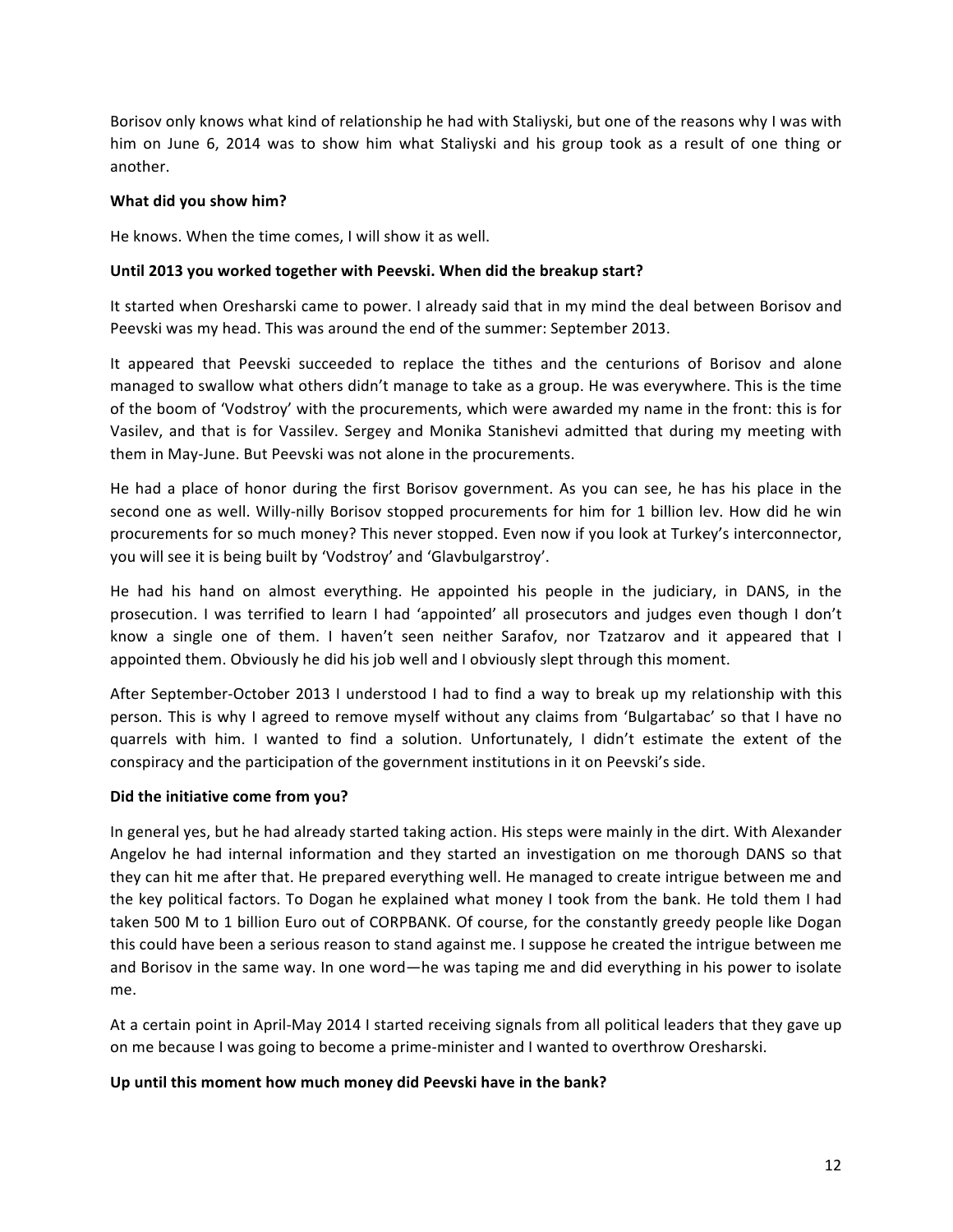Borisov only knows what kind of relationship he had with Staliyski, but one of the reasons why I was with him on June 6, 2014 was to show him what Staliyski and his group took as a result of one thing or another. 

### **What did you show him?**

He knows. When the time comes, I will show it as well.

### Until 2013 you worked together with Peevski. When did the breakup start?

It started when Oresharski came to power. I already said that in my mind the deal between Borisov and Peevski was my head. This was around the end of the summer: September 2013.

It appeared that Peevski succeeded to replace the tithes and the centurions of Borisov and alone managed to swallow what others didn't manage to take as a group. He was everywhere. This is the time of the boom of 'Vodstroy' with the procurements, which were awarded my name in the front: this is for Vasilev, and that is for Vassilev. Sergey and Monika Stanishevi admitted that during my meeting with them in May-June. But Peevski was not alone in the procurements.

He had a place of honor during the first Borisov government. As you can see, he has his place in the second one as well. Willy-nilly Borisov stopped procurements for him for 1 billion lev. How did he win procurements for so much money? This never stopped. Even now if you look at Turkey's interconnector, you will see it is being built by 'Vodstroy' and 'Glavbulgarstroy'.

He had his hand on almost everything. He appointed his people in the judiciary, in DANS, in the prosecution. I was terrified to learn I had 'appointed' all prosecutors and judges even though I don't know a single one of them. I haven't seen neither Sarafov, nor Tzatzarov and it appeared that I appointed them. Obviously he did his job well and I obviously slept through this moment.

After September-October 2013 I understood I had to find a way to break up my relationship with this person. This is why I agreed to remove myself without any claims from 'Bulgartabac' so that I have no quarrels with him. I wanted to find a solution. Unfortunately, I didn't estimate the extent of the conspiracy and the participation of the government institutions in it on Peevski's side.

### Did the initiative come from you?

In general yes, but he had already started taking action. His steps were mainly in the dirt. With Alexander Angelov he had internal information and they started an investigation on me thorough DANS so that they can hit me after that. He prepared everything well. He managed to create intrigue between me and the key political factors. To Dogan he explained what money I took from the bank. He told them I had taken 500 M to 1 billion Euro out of CORPBANK. Of course, for the constantly greedy people like Dogan this could have been a serious reason to stand against me. I suppose he created the intrigue between me and Borisov in the same way. In one word—he was taping me and did everything in his power to isolate me. 

At a certain point in April-May 2014 I started receiving signals from all political leaders that they gave up on me because I was going to become a prime-minister and I wanted to overthrow Oresharski.

### Up until this moment how much money did Peevski have in the bank?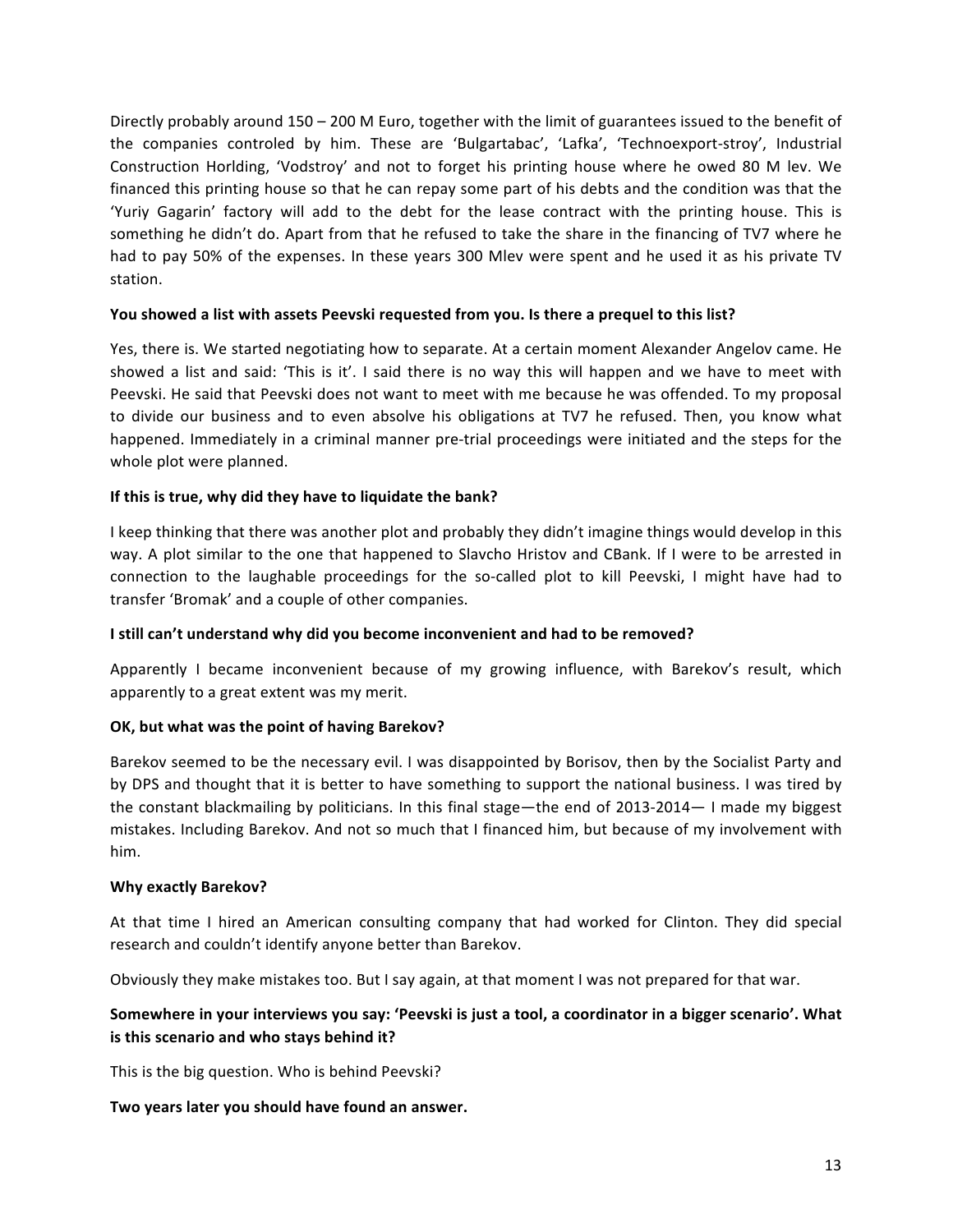Directly probably around  $150 - 200$  M Euro, together with the limit of guarantees issued to the benefit of the companies controled by him. These are 'Bulgartabac', 'Lafka', 'Technoexport-stroy', Industrial Construction Horlding, 'Vodstroy' and not to forget his printing house where he owed 80 M lev. We financed this printing house so that he can repay some part of his debts and the condition was that the 'Yuriy Gagarin' factory will add to the debt for the lease contract with the printing house. This is something he didn't do. Apart from that he refused to take the share in the financing of TV7 where he had to pay 50% of the expenses. In these years 300 Mlev were spent and he used it as his private TV station. 

### You showed a list with assets Peevski requested from you. Is there a prequel to this list?

Yes, there is. We started negotiating how to separate. At a certain moment Alexander Angelov came. He showed a list and said: 'This is it'. I said there is no way this will happen and we have to meet with Peevski. He said that Peevski does not want to meet with me because he was offended. To my proposal to divide our business and to even absolve his obligations at TV7 he refused. Then, you know what happened. Immediately in a criminal manner pre-trial proceedings were initiated and the steps for the whole plot were planned.

### If this is true, why did they have to liquidate the bank?

I keep thinking that there was another plot and probably they didn't imagine things would develop in this way. A plot similar to the one that happened to Slavcho Hristov and CBank. If I were to be arrested in connection to the laughable proceedings for the so-called plot to kill Peevski, I might have had to transfer 'Bromak' and a couple of other companies.

### **I** still can't understand why did you become inconvenient and had to be removed?

Apparently I became inconvenient because of my growing influence, with Barekov's result, which apparently to a great extent was my merit.

### **OK, but what was the point of having Barekov?**

Barekov seemed to be the necessary evil. I was disappointed by Borisov, then by the Socialist Party and by DPS and thought that it is better to have something to support the national business. I was tired by the constant blackmailing by politicians. In this final stage—the end of  $2013-2014$ — I made my biggest mistakes. Including Barekov. And not so much that I financed him, but because of my involvement with him.

### **Why exactly Barekov?**

At that time I hired an American consulting company that had worked for Clinton. They did special research and couldn't identify anyone better than Barekov.

Obviously they make mistakes too. But I say again, at that moment I was not prepared for that war.

## Somewhere in your interviews you say: 'Peevski is just a tool, a coordinator in a bigger scenario'. What **is this scenario and who stays behind it?**

This is the big question. Who is behind Peevski?

### Two years later you should have found an answer.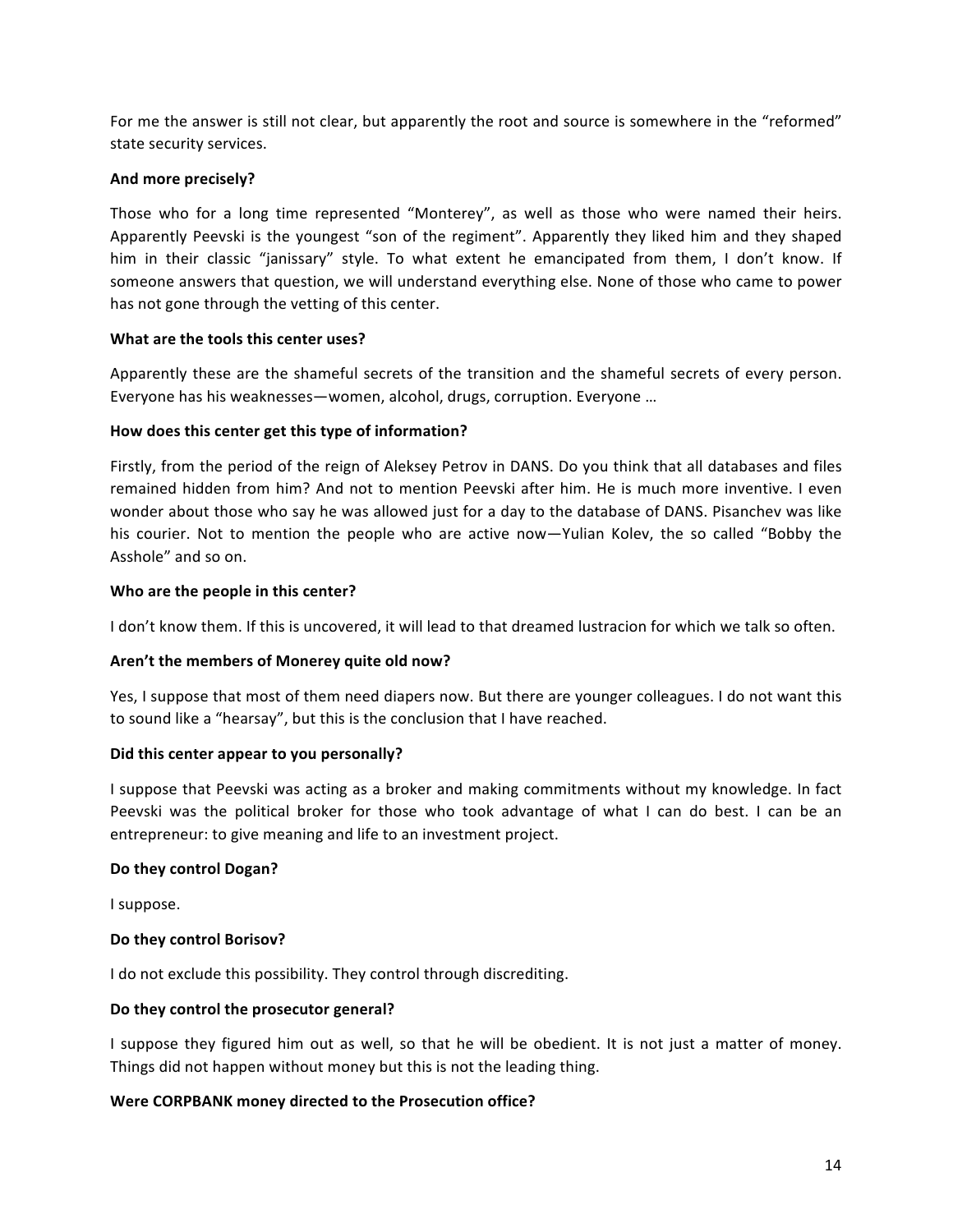For me the answer is still not clear, but apparently the root and source is somewhere in the "reformed" state security services.

### And more precisely?

Those who for a long time represented "Monterey", as well as those who were named their heirs. Apparently Peevski is the youngest "son of the regiment". Apparently they liked him and they shaped him in their classic "janissary" style. To what extent he emancipated from them, I don't know. If someone answers that question, we will understand everything else. None of those who came to power has not gone through the vetting of this center.

### **What are the tools this center uses?**

Apparently these are the shameful secrets of the transition and the shameful secrets of every person. Everyone has his weaknesses—women, alcohol, drugs, corruption. Everyone ...

### How does this center get this type of information?

Firstly, from the period of the reign of Aleksey Petrov in DANS. Do you think that all databases and files remained hidden from him? And not to mention Peevski after him. He is much more inventive. I even wonder about those who say he was allowed just for a day to the database of DANS. Pisanchev was like his courier. Not to mention the people who are active now—Yulian Kolev, the so called "Bobby the Asshole" and so on.

### Who are the people in this center?

I don't know them. If this is uncovered, it will lead to that dreamed lustracion for which we talk so often.

### Aren't the members of Monerey quite old now?

Yes, I suppose that most of them need diapers now. But there are younger colleagues. I do not want this to sound like a "hearsay", but this is the conclusion that I have reached.

### Did this center appear to you personally?

I suppose that Peevski was acting as a broker and making commitments without my knowledge. In fact Peevski was the political broker for those who took advantage of what I can do best. I can be an entrepreneur: to give meaning and life to an investment project.

### Do they control Dogan?

I suppose.

### **Do they control Borisov?**

I do not exclude this possibility. They control through discrediting.

### Do they control the prosecutor general?

I suppose they figured him out as well, so that he will be obedient. It is not just a matter of money. Things did not happen without money but this is not the leading thing.

## **Were CORPBANK money directed to the Prosecution office?**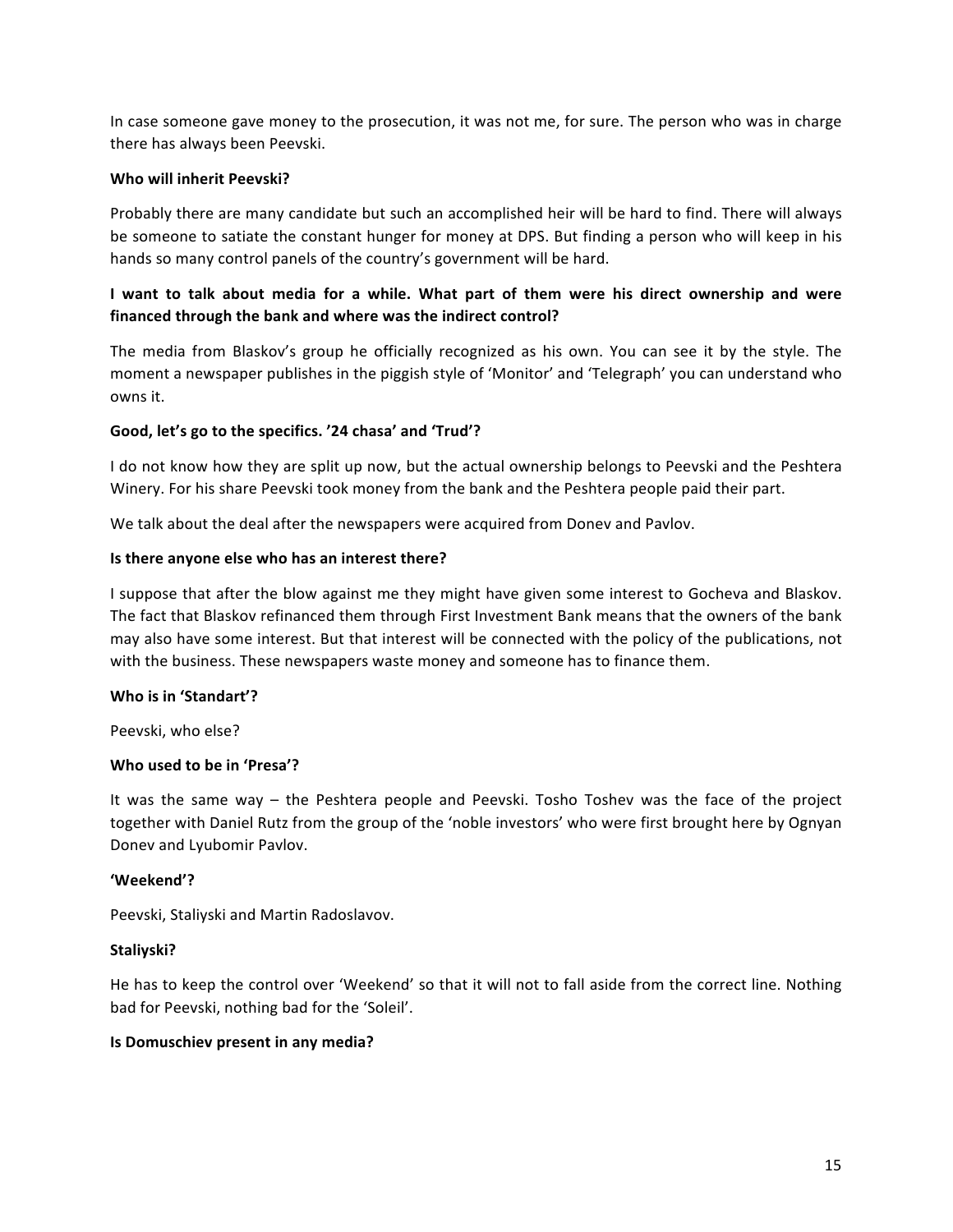In case someone gave money to the prosecution, it was not me, for sure. The person who was in charge there has always been Peevski.

### **Who will inherit Peevski?**

Probably there are many candidate but such an accomplished heir will be hard to find. There will always be someone to satiate the constant hunger for money at DPS. But finding a person who will keep in his hands so many control panels of the country's government will be hard.

## I want to talk about media for a while. What part of them were his direct ownership and were financed through the bank and where was the indirect control?

The media from Blaskov's group he officially recognized as his own. You can see it by the style. The moment a newspaper publishes in the piggish style of 'Monitor' and 'Telegraph' you can understand who owns it.

### Good, let's go to the specifics. '24 chasa' and 'Trud'?

I do not know how they are split up now, but the actual ownership belongs to Peevski and the Peshtera Winery. For his share Peevski took money from the bank and the Peshtera people paid their part.

We talk about the deal after the newspapers were acquired from Donev and Pavlov.

### **Is there anyone else who has an interest there?**

I suppose that after the blow against me they might have given some interest to Gocheva and Blaskov. The fact that Blaskov refinanced them through First Investment Bank means that the owners of the bank may also have some interest. But that interest will be connected with the policy of the publications, not with the business. These newspapers waste money and someone has to finance them.

### **Who is in 'Standart'?**

Peevski, who else?

### **Who used to be in 'Presa'?**

It was the same way – the Peshtera people and Peevski. Tosho Toshev was the face of the project together with Daniel Rutz from the group of the 'noble investors' who were first brought here by Ognyan Donev and Lyubomir Pavlov.

### **'Weekend'?**

Peevski, Staliyski and Martin Radoslavov.

### **Staliyski?**

He has to keep the control over 'Weekend' so that it will not to fall aside from the correct line. Nothing bad for Peevski, nothing bad for the 'Soleil'.

### **Is Domuschiev present in any media?**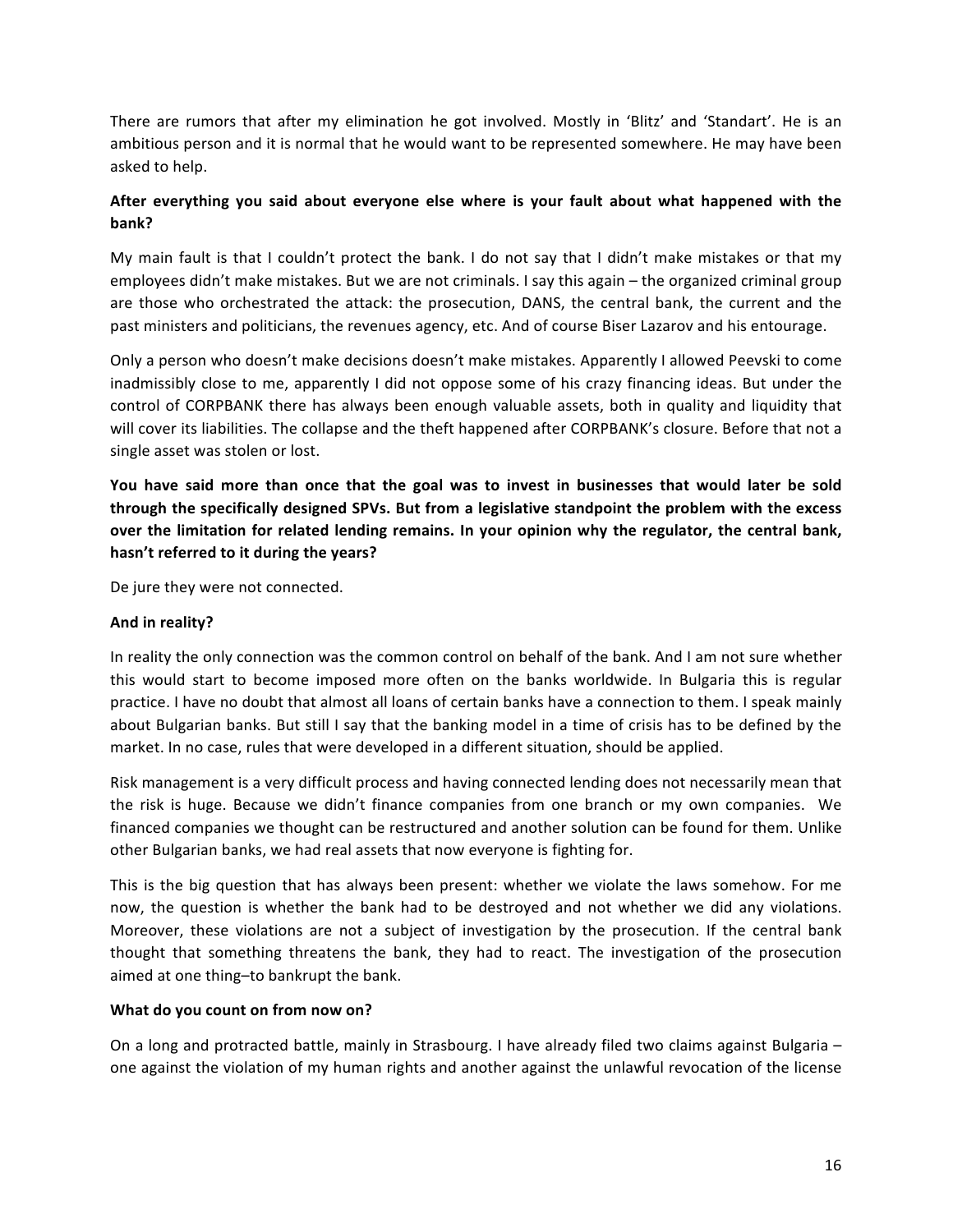There are rumors that after my elimination he got involved. Mostly in 'Blitz' and 'Standart'. He is an ambitious person and it is normal that he would want to be represented somewhere. He may have been asked to help.

## After everything you said about everyone else where is your fault about what happened with the **bank?**

My main fault is that I couldn't protect the bank. I do not say that I didn't make mistakes or that my employees didn't make mistakes. But we are not criminals. I say this again – the organized criminal group are those who orchestrated the attack: the prosecution, DANS, the central bank, the current and the past ministers and politicians, the revenues agency, etc. And of course Biser Lazarov and his entourage.

Only a person who doesn't make decisions doesn't make mistakes. Apparently I allowed Peevski to come inadmissibly close to me, apparently I did not oppose some of his crazy financing ideas. But under the control of CORPBANK there has always been enough valuable assets, both in quality and liquidity that will cover its liabilities. The collapse and the theft happened after CORPBANK's closure. Before that not a single asset was stolen or lost.

You have said more than once that the goal was to invest in businesses that would later be sold **through the specifically designed SPVs. But from a legislative standpoint the problem with the excess** over the limitation for related lending remains. In your opinion why the regulator, the central bank, hasn't referred to it during the years?

De jure they were not connected.

### And in reality?

In reality the only connection was the common control on behalf of the bank. And I am not sure whether this would start to become imposed more often on the banks worldwide. In Bulgaria this is regular practice. I have no doubt that almost all loans of certain banks have a connection to them. I speak mainly about Bulgarian banks. But still I say that the banking model in a time of crisis has to be defined by the market. In no case, rules that were developed in a different situation, should be applied.

Risk management is a very difficult process and having connected lending does not necessarily mean that the risk is huge. Because we didn't finance companies from one branch or my own companies. We financed companies we thought can be restructured and another solution can be found for them. Unlike other Bulgarian banks, we had real assets that now everyone is fighting for.

This is the big question that has always been present: whether we violate the laws somehow. For me now, the question is whether the bank had to be destroyed and not whether we did any violations. Moreover, these violations are not a subject of investigation by the prosecution. If the central bank thought that something threatens the bank, they had to react. The investigation of the prosecution aimed at one thing-to bankrupt the bank.

### **What do you count on from now on?**

On a long and protracted battle, mainly in Strasbourg. I have already filed two claims against Bulgaria one against the violation of my human rights and another against the unlawful revocation of the license